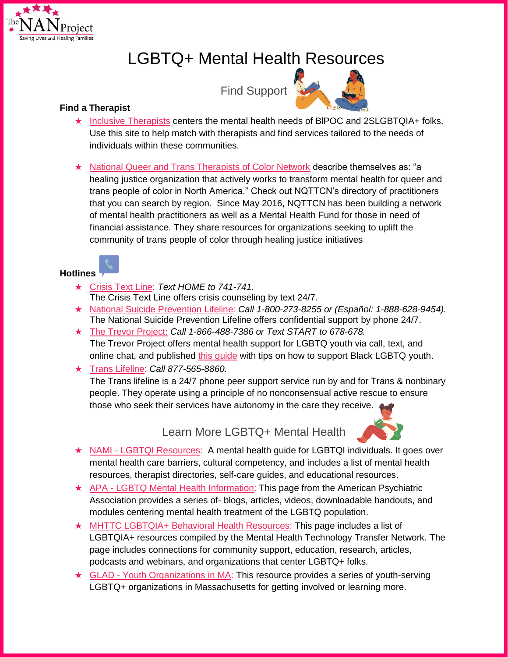

# LGBTQ+ Mental Health Resources

Find Support



- ★ [Inclusive Therapists](https://www.inclusivetherapists.com/) centers the mental health needs of BIPOC and 2SLGBTQIA+ folks. Use this site to help match with therapists and find services tailored to the needs of individuals within these communities.
- ★ [National Queer and Trans Therapists of Color Network](https://www.nqttcn.com/) describe themselves as: "a healing justice organization that actively works to transform mental health for queer and trans people of color in North America." Check out NQTTCN's directory of practitioners that you can search by region. Since May 2016, NQTTCN has been building a network of mental health practitioners as well as a Mental Health Fund for those in need of financial assistance. They share resources for organizations seeking to uplift the community of trans people of color through healing justice initiatives

### **Hotlines**

- ★ [Crisis Text Line:](https://www.crisistextline.org/) *Text HOME to 741-741.* The Crisis Text Line offers crisis counseling by text 24/7.
- ★ [National Suicide Prevention Lifeline:](https://suicidepreventionlifeline.org/) *Call 1-800-273-8255 or (Español: 1-888-628-9454).* The National Suicide Prevention Lifeline offers confidential support by phone 24/7.
- ★ [The Trevor Project:](https://www.thetrevorproject.org/2020/06/01/supporting-black-lgbtq-youth-mental-health/) *Call 1-866-488-7386 or Text START to 678-678.* The Trevor Project offers mental health support for LGBTQ youth via call, text, and online chat, and published [this guide](https://www.thetrevorproject.org/2020/06/01/supporting-black-lgbtq-youth-mental-health/) with tips on how to support Black LGBTQ youth.
- ★ [Trans Lifeline:](https://translifeline.org/) *Call 877-565-8860.*

The Trans lifeline is a 24/7 phone peer support service run by and for Trans & nonbinary people. They operate using a principle of no nonconsensual active rescue to ensure those who seek their services have autonomy in the care they receive.

Learn More LGBTQ+ Mental Health



- ★ NAMI [LGBTQI Resources:](https://www.nami.org/Your-Journey/Identity-and-Cultural-Dimensions/LGBTQI) A mental health guide for LGBTQI individuals. It goes over mental health care barriers, cultural competency, and includes a list of mental health resources, therapist directories, self-care guides, and educational resources.
- ★ APA [LGBTQ Mental Health Information:](https://www.psychiatry.org/psychiatrists/cultural-competency/education/lgbtq-patients) This page from the American Psychiatric Association provides a series of- blogs, articles, videos, downloadable handouts, and modules centering mental health treatment of the LGBTQ population.
- ★ [MHTTC LGBTQIA+ Behavioral Health Resources:](https://mhttcnetwork.org/centers/northwest-mhttc/lgbtqia-behavioral-health-resources) This page includes a list of LGBTQIA+ resources compiled by the Mental Health Technology Transfer Network. The page includes connections for community support, education, research, articles, podcasts and webinars, and organizations that center LGBTQ+ folks.
- ★ GLAD [Youth Organizations in MA:](https://www.glad.org/overview/youth-organizations/massachusetts/) This resource provides a series of youth-serving LGBTQ+ organizations in Massachusetts for getting involved or learning more.